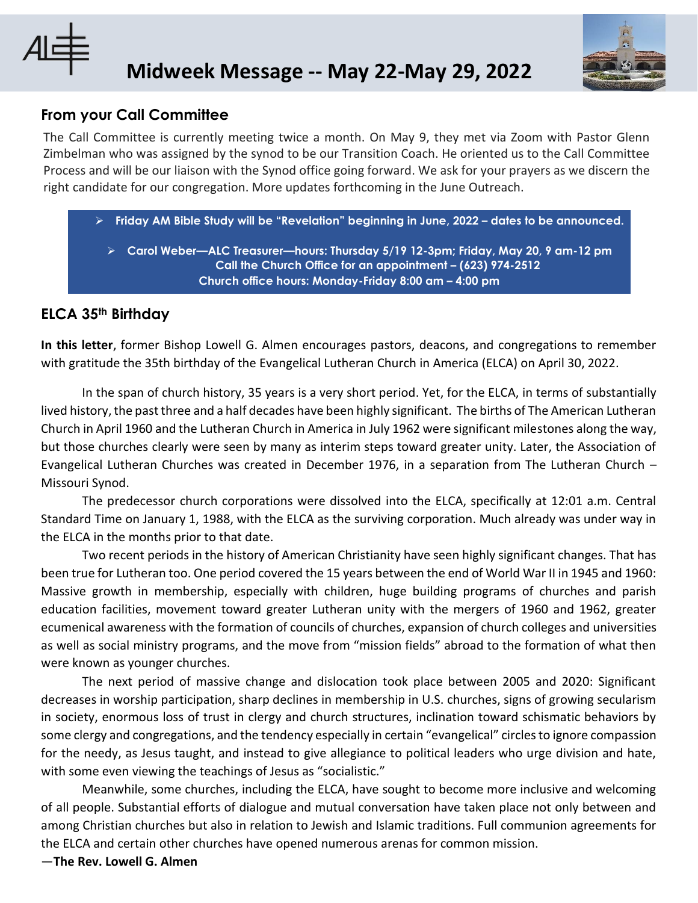

## **Midweek Message -- May 22-May 29, 2022**

## **From your Call Committee**

The Call Committee is currently meeting twice a month. On May 9, they met via Zoom with Pastor Glenn Zimbelman who was assigned by the synod to be our Transition Coach. He oriented us to the Call Committee Process and will be our liaison with the Synod office going forward. We ask for your prayers as we discern the right candidate for our congregation. More updates forthcoming in the June Outreach.

➢ **Friday AM Bible Study will be "Revelation" beginning in June, 2022 – dates to be announced.**

➢ **Carol Weber—ALC Treasurer—hours: Thursday 5/19 12-3pm; Friday, May 20, 9 am-12 pm Call the Church Office for an appointment – (623) 974-2512 Church office hours: Monday-Friday 8:00 am – 4:00 pm**

## **ELCA 35th Birthday**

**In this letter**, former Bishop Lowell G. Almen encourages pastors, deacons, and congregations to remember with gratitude the 35th birthday of the Evangelical Lutheran Church in America (ELCA) on April 30, 2022.

In the span of church history, 35 years is a very short period. Yet, for the ELCA, in terms of substantially lived history, the past three and a half decades have been highly significant. The births of The American Lutheran Church in April 1960 and the Lutheran Church in America in July 1962 were significant milestones along the way, but those churches clearly were seen by many as interim steps toward greater unity. Later, the Association of Evangelical Lutheran Churches was created in December 1976, in a separation from The Lutheran Church – Missouri Synod.

The predecessor church corporations were dissolved into the ELCA, specifically at 12:01 a.m. Central Standard Time on January 1, 1988, with the ELCA as the surviving corporation. Much already was under way in the ELCA in the months prior to that date.

Two recent periods in the history of American Christianity have seen highly significant changes. That has been true for Lutheran too. One period covered the 15 years between the end of World War II in 1945 and 1960: Massive growth in membership, especially with children, huge building programs of churches and parish education facilities, movement toward greater Lutheran unity with the mergers of 1960 and 1962, greater ecumenical awareness with the formation of councils of churches, expansion of church colleges and universities as well as social ministry programs, and the move from "mission fields" abroad to the formation of what then were known as younger churches.

The next period of massive change and dislocation took place between 2005 and 2020: Significant decreases in worship participation, sharp declines in membership in U.S. churches, signs of growing secularism in society, enormous loss of trust in clergy and church structures, inclination toward schismatic behaviors by some clergy and congregations, and the tendency especially in certain "evangelical" circles to ignore compassion for the needy, as Jesus taught, and instead to give allegiance to political leaders who urge division and hate, with some even viewing the teachings of Jesus as "socialistic."

Meanwhile, some churches, including the ELCA, have sought to become more inclusive and welcoming of all people. Substantial efforts of dialogue and mutual conversation have taken place not only between and among Christian churches but also in relation to Jewish and Islamic traditions. Full communion agreements for the ELCA and certain other churches have opened numerous arenas for common mission.

—**The Rev. Lowell G. Almen**